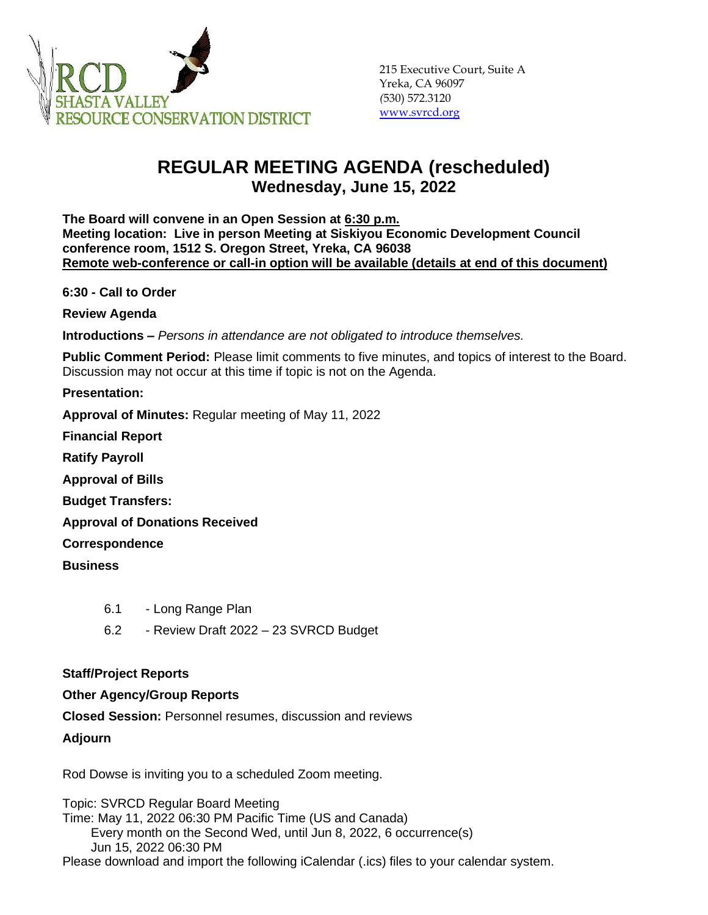

## **REGULAR MEETING AGENDA (rescheduled) Wednesday, June 15, 2022**

**The Board will convene in an Open Session at 6:30 p.m. Meeting location: Live in person Meeting at Siskiyou Economic Development Council conference room, 1512 S. Oregon Street, Yreka, CA 96038 Remote web-conference or call-in option will be available (details at end of this document)**

**6:30 - Call to Order** 

**Review Agenda**

**Introductions –** *Persons in attendance are not obligated to introduce themselves.*

**Public Comment Period:** Please limit comments to five minutes, and topics of interest to the Board. Discussion may not occur at this time if topic is not on the Agenda.

**Presentation:** 

**Approval of Minutes:** Regular meeting of May 11, 2022

**Financial Report**

**Ratify Payroll**

**Approval of Bills**

**Budget Transfers:**

**Approval of Donations Received**

**Correspondence**

**Business**

- 6.1 Long Range Plan
- 6.2 Review Draft 2022 23 SVRCD Budget

## **Staff/Project Reports**

## **Other Agency/Group Reports**

**Closed Session:** Personnel resumes, discussion and reviews

## **Adjourn**

Rod Dowse is inviting you to a scheduled Zoom meeting.

Topic: SVRCD Regular Board Meeting Time: May 11, 2022 06:30 PM Pacific Time (US and Canada) Every month on the Second Wed, until Jun 8, 2022, 6 occurrence(s) Jun 15, 2022 06:30 PM Please download and import the following iCalendar (.ics) files to your calendar system.